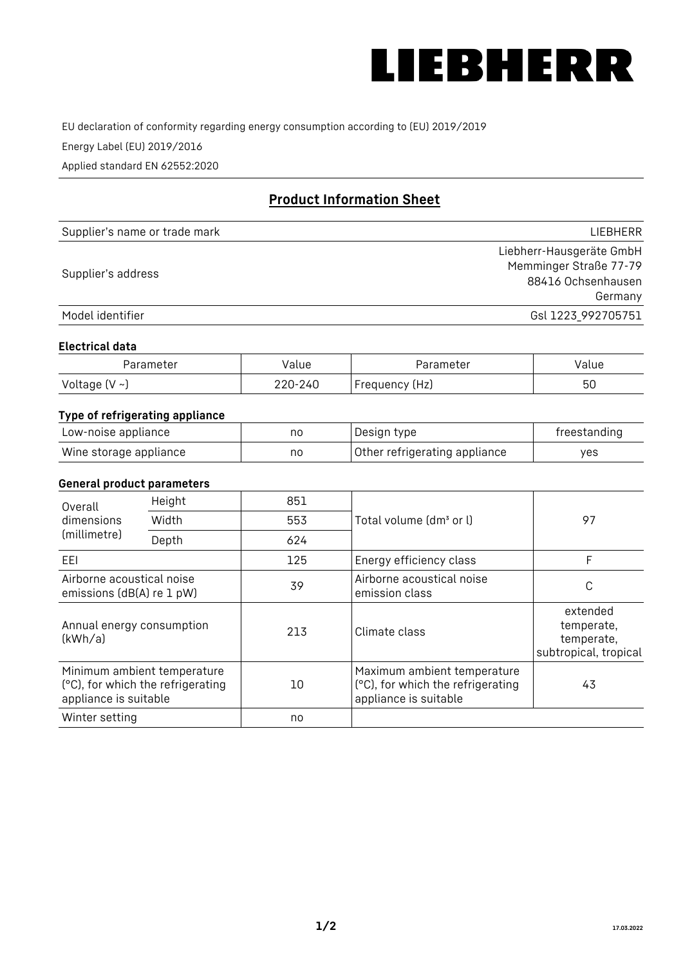

EU declaration of conformity regarding energy consumption according to (EU) 2019/2019

Energy Label (EU) 2019/2016

Applied standard EN 62552:2020

# **Product Information Sheet**

| Supplier's name or trade mark | <b>LIFBHFRR</b>          |
|-------------------------------|--------------------------|
|                               | Liebherr-Hausgeräte GmbH |
| Supplier's address            | Memminger Straße 77-79   |
|                               | 88416 Ochsenhausen       |
|                               | Germany                  |
| Model identifier              | Gsl 1223 992705751       |

#### **Electrical data**

| Parameter     | Value   | Parameter      | alue |
|---------------|---------|----------------|------|
| Voltage (V ~) | 220-240 | Frequency (Hz) | 50   |

## **Type of refrigerating appliance**

| Low-noise appliance    | nc | Design type                   | freestanding |
|------------------------|----|-------------------------------|--------------|
| Wine storage appliance | nc | Other refrigerating appliance | ves          |

## **General product parameters**

| Overall<br>dimensions<br>(millimetre)                  | Height                                                           | 851 |                                                                                           | 97                                                            |
|--------------------------------------------------------|------------------------------------------------------------------|-----|-------------------------------------------------------------------------------------------|---------------------------------------------------------------|
|                                                        | Width                                                            | 553 | Total volume (dm <sup>3</sup> or l)                                                       |                                                               |
|                                                        | Depth                                                            | 624 |                                                                                           |                                                               |
| EEL                                                    |                                                                  | 125 | Energy efficiency class                                                                   | F                                                             |
| Airborne acoustical noise<br>emissions (dB(A) re 1 pW) |                                                                  | 39  | Airborne acoustical noise<br>emission class                                               | С                                                             |
| Annual energy consumption<br>(kWh/a)                   |                                                                  | 213 | Climate class                                                                             | extended<br>temperate,<br>temperate,<br>subtropical, tropical |
| appliance is suitable                                  | Minimum ambient temperature<br>(°C), for which the refrigerating | 10  | Maximum ambient temperature<br>(°C), for which the refrigerating<br>appliance is suitable | 43                                                            |
| Winter setting                                         |                                                                  | no  |                                                                                           |                                                               |